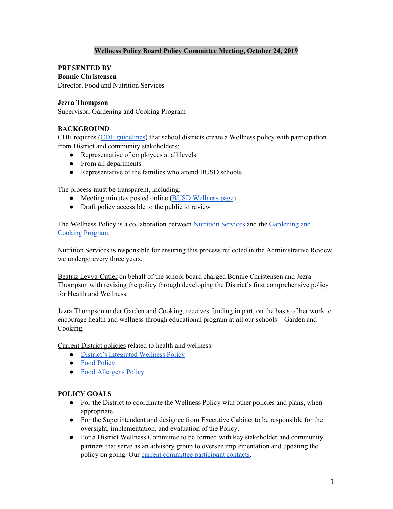## **Wellness Policy Board Policy Committee Meeting, October 24, 2019**

**PRESENTED BY Bonnie Christensen** Director, Food and Nutrition Services

#### **Jezra Thompson**

Supervisor, Gardening and Cooking Program

#### **BACKGROUND**

CDE requires (CDE [guidelines](https://www.cde.ca.gov/ls/nu/sn/mbsnp132017.asp)) that school districts create a Wellness policy with participation from District and community stakeholders:

- Representative of employees at all levels
- From all departments
- Representative of the families who attend BUSD schools

The process must be transparent, including:

- Meeting minutes posted online (BUSD [Wellness](https://www.berkeleyschools.net/departments/nutrition-services/wellness/) page)
- Draft policy accessible to the public to review

The Wellness Policy is a collaboration between [Nutrition](https://www.berkeleyschools.net/departments/nutrition-services/) Services and the [Gardening](https://www.berkeleyschools.net/gcp/) and Cooking [Program.](https://www.berkeleyschools.net/gcp/)

Nutrition Services is responsible for ensuring this process reflected in the Administrative Review we undergo every three years.

Beatriz Leyva-Cutler on behalf of the school board charged Bonnie Christensen and Jezra Thompson with revising the policy through developing the District's first comprehensive policy for Health and Wellness.

Jezra Thompson under Garden and Cooking, receives funding in part, on the basis of her work to encourage health and wellness through educational program at all our schools – Garden and Cooking.

Current District policies related to health and wellness:

- District's [Integrated](http://www.berkeleyschools.net/wp-content/uploads/2016/05/BP5030.5-BUSD-Student-Wellness-Policy.rev2008.pdf) Wellness Policy
- Food [Policy](https://berkeleyschools.net/uploads/nutrition/BUSD_Food_Policy.pdf)
- Food [Allergens](https://www.berkeleyschools.net/schoolboard/policies/food-allergy-board-policy/) Policy

#### **POLICY GOALS**

- For the District to coordinate the Wellness Policy with other policies and plans, when appropriate.
- For the Superintendent and designee from Executive Cabinet to be responsible for the oversight, implementation, and evaluation of the Policy.
- For a District Wellness Committee to be formed with key stakeholder and community partners that serve as an advisory group to oversee implementation and updating the policy on going. Our current committee [participant](https://docs.google.com/spreadsheets/d/1lgsbdA0_DRR8ezs0CTeR5afIpc3BQohH6esfgAlStLs/edit#gid=0) contacts.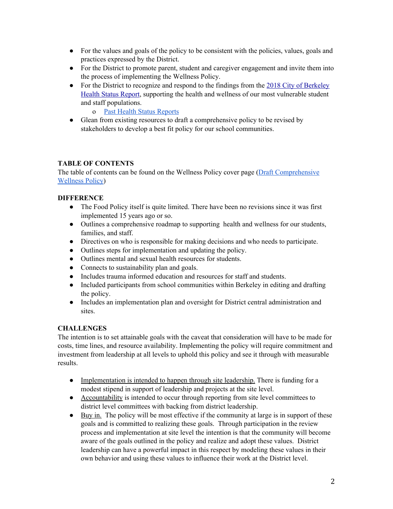- For the values and goals of the policy to be consistent with the policies, values, goals and practices expressed by the District.
- For the District to promote parent, student and caregiver engagement and invite them into the process of implementing the Wellness Policy.
- For the District to recognize and respond to the findings from the 2018 City of [Berkeley](https://www.cityofberkeley.info/uploadedFiles/Health_Human_Services/Level_3_-_Public_Health/2018-health-status-report-berkeley.pdf) Health Status [Report,](https://www.cityofberkeley.info/uploadedFiles/Health_Human_Services/Level_3_-_Public_Health/2018-health-status-report-berkeley.pdf) supporting the health and wellness of our most vulnerable student and staff populations.
	- o Past Health Status [Reports](https://www.cityofberkeley.info/Health_Human_Services/Public_Health/Public_Health_Reports.aspx)
- Glean from existing resources to draft a comprehensive policy to be revised by stakeholders to develop a best fit policy for our school communities.

## **TABLE OF CONTENTS**

The table of contents can be found on the Wellness Policy cover page (Draft [Comprehensive](https://docs.google.com/document/d/1ZwFp1qoctQr2qF8LHxvCTUy6aMdy2RLOJJ1jwtknNGc/edit)) [Wellness](https://docs.google.com/document/d/1ZwFp1qoctQr2qF8LHxvCTUy6aMdy2RLOJJ1jwtknNGc/edit) Policy)

## **DIFFERENCE**

- The Food Policy itself is quite limited. There have been no revisions since it was first implemented 15 years ago or so.
- Outlines a comprehensive roadmap to supporting health and wellness for our students, families, and staff.
- Directives on who is responsible for making decisions and who needs to participate.
- Outlines steps for implementation and updating the policy.
- Outlines mental and sexual health resources for students.
- Connects to sustainability plan and goals.
- Includes trauma informed education and resources for staff and students.
- Included participants from school communities within Berkeley in editing and drafting the policy.
- Includes an implementation plan and oversight for District central administration and sites.

## **CHALLENGES**

The intention is to set attainable goals with the caveat that consideration will have to be made for costs, time lines, and resource availability. Implementing the policy will require commitment and investment from leadership at all levels to uphold this policy and see it through with measurable results.

- Implementation is intended to happen through site leadership. There is funding for a modest stipend in support of leadership and projects at the site level.
- Accountability is intended to occur through reporting from site level committees to district level committees with backing from district leadership.
- Buy in. The policy will be most effective if the community at large is in support of these goals and is committed to realizing these goals. Through participation in the review process and implementation at site level the intention is that the community will become aware of the goals outlined in the policy and realize and adopt these values. District leadership can have a powerful impact in this respect by modeling these values in their own behavior and using these values to influence their work at the District level.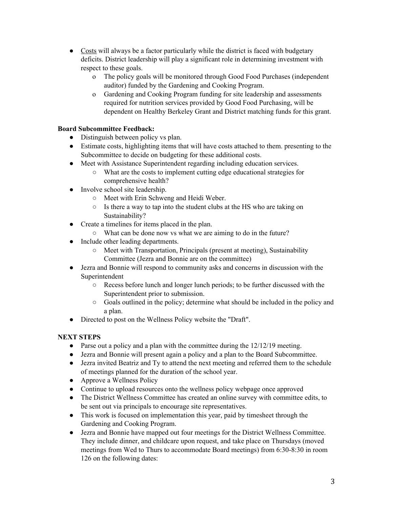- Costs will always be a factor particularly while the district is faced with budgetary deficits. District leadership will play a significant role in determining investment with respect to these goals.
	- o The policy goals will be monitored through Good Food Purchases (independent auditor) funded by the Gardening and Cooking Program.
	- o Gardening and Cooking Program funding for site leadership and assessments required for nutrition services provided by Good Food Purchasing, will be dependent on Healthy Berkeley Grant and District matching funds for this grant.

## **Board Subcommittee Feedback:**

- Distinguish between policy vs plan.
- Estimate costs, highlighting items that will have costs attached to them. presenting to the Subcommittee to decide on budgeting for these additional costs.
- Meet with Assistance Superintendent regarding including education services.
	- What are the costs to implement cutting edge educational strategies for comprehensive health?
- Involve school site leadership.
	- Meet with Erin Schweng and Heidi Weber.
	- Is there a way to tap into the student clubs at the HS who are taking on Sustainability?
- Create a timelines for items placed in the plan.
	- What can be done now vs what we are aiming to do in the future?
- Include other leading departments.
	- Meet with Transportation, Principals (present at meeting), Sustainability Committee (Jezra and Bonnie are on the committee)
- Jezra and Bonnie will respond to community asks and concerns in discussion with the Superintendent
	- Recess before lunch and longer lunch periods; to be further discussed with the Superintendent prior to submission.
	- Goals outlined in the policy; determine what should be included in the policy and a plan.
- Directed to post on the Wellness Policy website the "Draft".

# **NEXT STEPS**

- Parse out a policy and a plan with the committee during the 12/12/19 meeting.
- Jezra and Bonnie will present again a policy and a plan to the Board Subcommittee.
- Jezra invited Beatriz and Ty to attend the next meeting and referred them to the schedule of meetings planned for the duration of the school year.
- Approve a Wellness Policy
- Continue to upload resources onto the wellness policy webpage once approved
- The District Wellness Committee has created an online survey with committee edits, to be sent out via principals to encourage site representatives.
- This work is focused on implementation this year, paid by timesheet through the Gardening and Cooking Program.
- Jezra and Bonnie have mapped out four meetings for the District Wellness Committee. They include dinner, and childcare upon request, and take place on Thursdays (moved meetings from Wed to Thurs to accommodate Board meetings) from 6:30-8:30 in room 126 on the following dates: